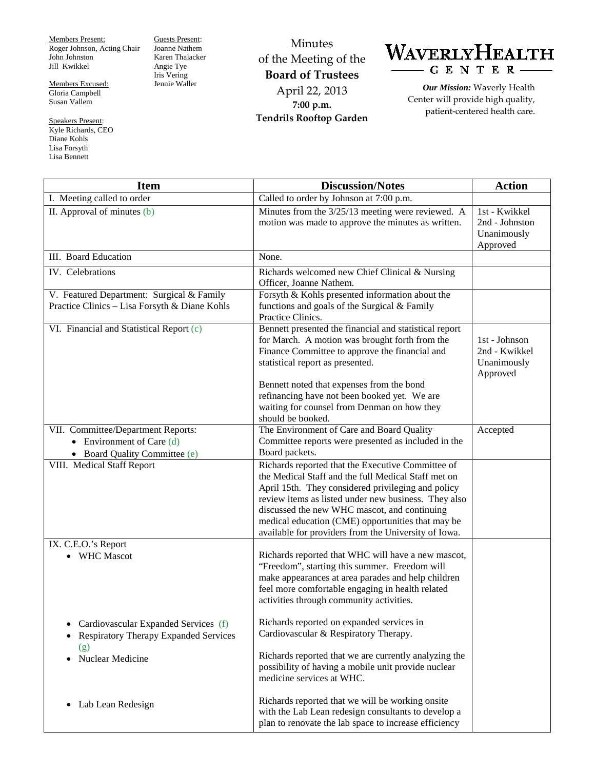Members Present: Roger Johnson, Acting Chair John Johnston Jill Kwikkel

Members Excused: Gloria Campbell Susan Vallem

Speakers Present: Kyle Richards, CEO Diane Kohls Lisa Forsyth Lisa Bennett

Guests Present: Joanne Nathem Karen Thalacker Angie Tye Iris Vering Jennie Waller

Minutes of the Meeting of the **Board of Trustees** April 22, 2013 **7:00 p.m. Tendrils Rooftop Garden**



*Our Mission:* Waverly Health Center will provide high quality, patient-centered health care.

| <b>Item</b>                                                                                        | <b>Discussion/Notes</b>                                                                                                                                                                                                                                                                                                                                                             | <b>Action</b>                                              |
|----------------------------------------------------------------------------------------------------|-------------------------------------------------------------------------------------------------------------------------------------------------------------------------------------------------------------------------------------------------------------------------------------------------------------------------------------------------------------------------------------|------------------------------------------------------------|
| I. Meeting called to order                                                                         | Called to order by Johnson at 7:00 p.m.                                                                                                                                                                                                                                                                                                                                             |                                                            |
| II. Approval of minutes $(b)$                                                                      | Minutes from the 3/25/13 meeting were reviewed. A<br>motion was made to approve the minutes as written.                                                                                                                                                                                                                                                                             | 1st - Kwikkel<br>2nd - Johnston<br>Unanimously<br>Approved |
| III. Board Education                                                                               | None.                                                                                                                                                                                                                                                                                                                                                                               |                                                            |
| IV. Celebrations                                                                                   | Richards welcomed new Chief Clinical & Nursing<br>Officer, Joanne Nathem.                                                                                                                                                                                                                                                                                                           |                                                            |
| V. Featured Department: Surgical & Family<br>Practice Clinics - Lisa Forsyth & Diane Kohls         | Forsyth & Kohls presented information about the<br>functions and goals of the Surgical & Family<br>Practice Clinics.                                                                                                                                                                                                                                                                |                                                            |
| VI. Financial and Statistical Report (c)                                                           | Bennett presented the financial and statistical report<br>for March. A motion was brought forth from the<br>Finance Committee to approve the financial and<br>statistical report as presented.<br>Bennett noted that expenses from the bond<br>refinancing have not been booked yet. We are                                                                                         | 1st - Johnson<br>2nd - Kwikkel<br>Unanimously<br>Approved  |
|                                                                                                    | waiting for counsel from Denman on how they<br>should be booked.                                                                                                                                                                                                                                                                                                                    |                                                            |
| VII. Committee/Department Reports:<br>• Environment of Care $(d)$<br>• Board Quality Committee (e) | The Environment of Care and Board Quality<br>Committee reports were presented as included in the<br>Board packets.                                                                                                                                                                                                                                                                  | Accepted                                                   |
| VIII. Medical Staff Report                                                                         | Richards reported that the Executive Committee of<br>the Medical Staff and the full Medical Staff met on<br>April 15th. They considered privileging and policy<br>review items as listed under new business. They also<br>discussed the new WHC mascot, and continuing<br>medical education (CME) opportunities that may be<br>available for providers from the University of Iowa. |                                                            |
| IX. C.E.O.'s Report<br>• WHC Mascot                                                                | Richards reported that WHC will have a new mascot,<br>"Freedom", starting this summer. Freedom will<br>make appearances at area parades and help children<br>feel more comfortable engaging in health related<br>activities through community activities.                                                                                                                           |                                                            |
| Cardiovascular Expanded Services (f)<br><b>Respiratory Therapy Expanded Services</b>               | Richards reported on expanded services in<br>Cardiovascular & Respiratory Therapy.                                                                                                                                                                                                                                                                                                  |                                                            |
| (g)<br>Nuclear Medicine<br>$\bullet$                                                               | Richards reported that we are currently analyzing the<br>possibility of having a mobile unit provide nuclear<br>medicine services at WHC.                                                                                                                                                                                                                                           |                                                            |
| Lab Lean Redesign<br>$\bullet$                                                                     | Richards reported that we will be working onsite<br>with the Lab Lean redesign consultants to develop a<br>plan to renovate the lab space to increase efficiency                                                                                                                                                                                                                    |                                                            |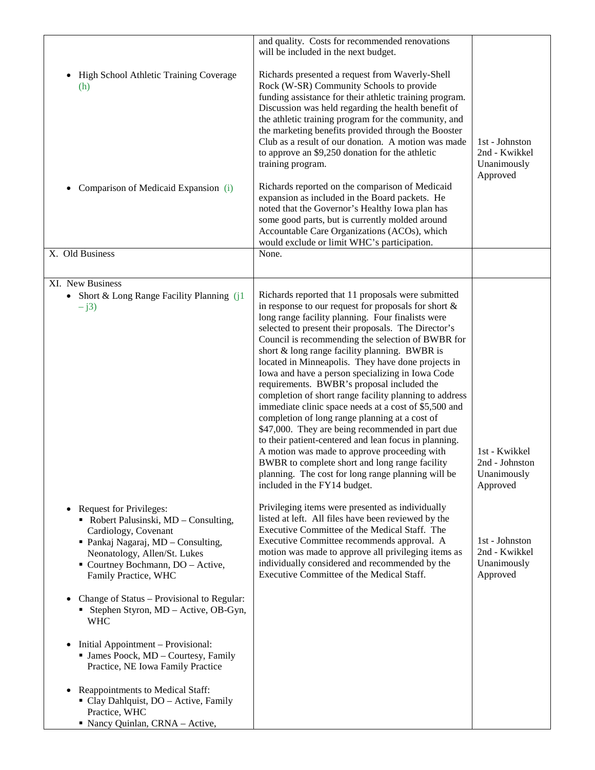|                                                                                                                                                                                                                                          | and quality. Costs for recommended renovations<br>will be included in the next budget.                                                                                                                                                                                                                                                                                                                                                                                                                                                                                                                                                                                                                                                                                                                                                                                                                                                                            |                                                            |
|------------------------------------------------------------------------------------------------------------------------------------------------------------------------------------------------------------------------------------------|-------------------------------------------------------------------------------------------------------------------------------------------------------------------------------------------------------------------------------------------------------------------------------------------------------------------------------------------------------------------------------------------------------------------------------------------------------------------------------------------------------------------------------------------------------------------------------------------------------------------------------------------------------------------------------------------------------------------------------------------------------------------------------------------------------------------------------------------------------------------------------------------------------------------------------------------------------------------|------------------------------------------------------------|
| High School Athletic Training Coverage<br>(h)<br>Comparison of Medicaid Expansion (i)<br>$\bullet$                                                                                                                                       | Richards presented a request from Waverly-Shell<br>Rock (W-SR) Community Schools to provide<br>funding assistance for their athletic training program.<br>Discussion was held regarding the health benefit of<br>the athletic training program for the community, and<br>the marketing benefits provided through the Booster<br>Club as a result of our donation. A motion was made<br>to approve an \$9,250 donation for the athletic<br>training program.<br>Richards reported on the comparison of Medicaid<br>expansion as included in the Board packets. He<br>noted that the Governor's Healthy Iowa plan has<br>some good parts, but is currently molded around<br>Accountable Care Organizations (ACOs), which<br>would exclude or limit WHC's participation.                                                                                                                                                                                             | 1st - Johnston<br>2nd - Kwikkel<br>Unanimously<br>Approved |
| X. Old Business                                                                                                                                                                                                                          | None.                                                                                                                                                                                                                                                                                                                                                                                                                                                                                                                                                                                                                                                                                                                                                                                                                                                                                                                                                             |                                                            |
| XI. New Business<br>• Short & Long Range Facility Planning (j1<br>$-$ j3)                                                                                                                                                                | Richards reported that 11 proposals were submitted<br>in response to our request for proposals for short $\&$<br>long range facility planning. Four finalists were<br>selected to present their proposals. The Director's<br>Council is recommending the selection of BWBR for<br>short & long range facility planning. BWBR is<br>located in Minneapolis. They have done projects in<br>Iowa and have a person specializing in Iowa Code<br>requirements. BWBR's proposal included the<br>completion of short range facility planning to address<br>immediate clinic space needs at a cost of \$5,500 and<br>completion of long range planning at a cost of<br>\$47,000. They are being recommended in part due<br>to their patient-centered and lean focus in planning.<br>A motion was made to approve proceeding with<br>BWBR to complete short and long range facility<br>planning. The cost for long range planning will be<br>included in the FY14 budget. | 1st - Kwikkel<br>2nd - Johnston<br>Unanimously<br>Approved |
| Request for Privileges:<br>$\bullet$<br>• Robert Palusinski, MD – Consulting,<br>Cardiology, Covenant<br>• Pankaj Nagaraj, MD - Consulting,<br>Neonatology, Allen/St. Lukes<br>• Courtney Bochmann, DO - Active,<br>Family Practice, WHC | Privileging items were presented as individually<br>listed at left. All files have been reviewed by the<br>Executive Committee of the Medical Staff. The<br>Executive Committee recommends approval. A<br>motion was made to approve all privileging items as<br>individually considered and recommended by the<br>Executive Committee of the Medical Staff.                                                                                                                                                                                                                                                                                                                                                                                                                                                                                                                                                                                                      | 1st - Johnston<br>2nd - Kwikkel<br>Unanimously<br>Approved |
| Change of Status – Provisional to Regular:<br>$\bullet$<br>• Stephen Styron, MD - Active, OB-Gyn,<br><b>WHC</b>                                                                                                                          |                                                                                                                                                                                                                                                                                                                                                                                                                                                                                                                                                                                                                                                                                                                                                                                                                                                                                                                                                                   |                                                            |
| Initial Appointment - Provisional:<br>$\bullet$<br>• James Poock, MD - Courtesy, Family<br>Practice, NE Iowa Family Practice                                                                                                             |                                                                                                                                                                                                                                                                                                                                                                                                                                                                                                                                                                                                                                                                                                                                                                                                                                                                                                                                                                   |                                                            |
| Reappointments to Medical Staff:<br>٠<br>• Clay Dahlquist, DO - Active, Family<br>Practice, WHC<br>Nancy Quinlan, CRNA - Active,                                                                                                         |                                                                                                                                                                                                                                                                                                                                                                                                                                                                                                                                                                                                                                                                                                                                                                                                                                                                                                                                                                   |                                                            |